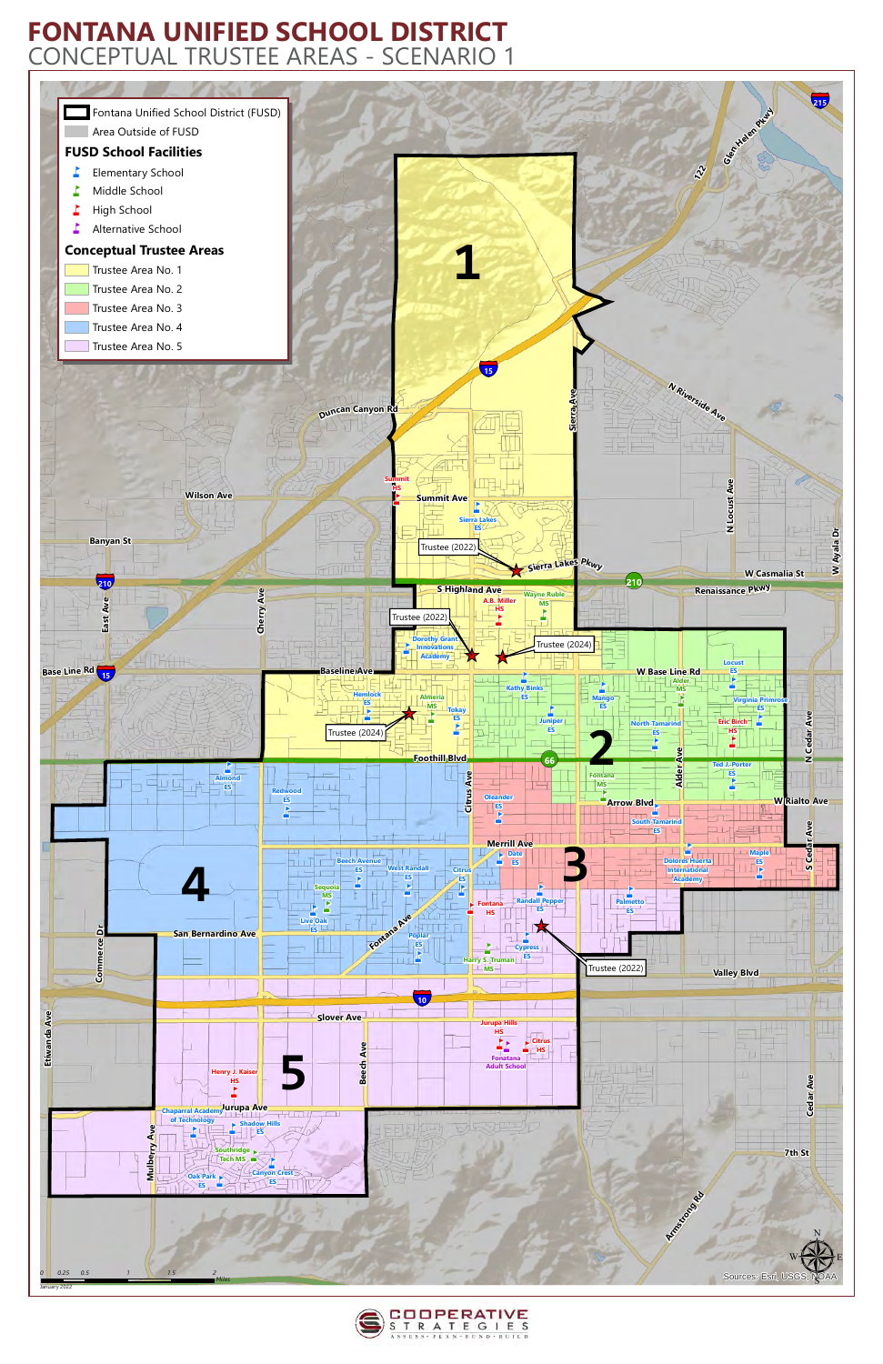



## **FONTANA UNIFIED SCHOOL DISTRICT** CONCEPTUAL TRUSTEE AREAS - SCENARIO 1